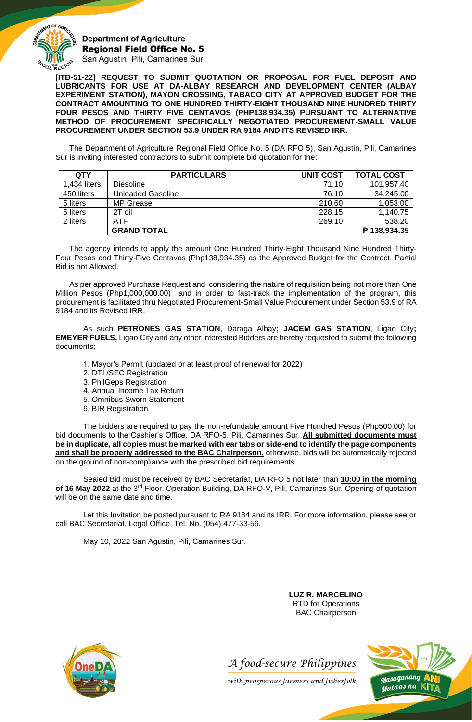

#### **Department of Agriculture Regional Field Office No. 5**

San Agustin, Pili, Camarines Sur

**[ITB-51-22] REQUEST TO SUBMIT QUOTATION OR PROPOSAL FOR FUEL DEPOSIT AND LUBRICANTS FOR USE AT DA-ALBAY RESEARCH AND DEVELOPMENT CENTER (ALBAY EXPERIMENT STATION), MAYON CROSSING, TABACO CITY AT APPROVED BUDGET FOR THE CONTRACT AMOUNTING TO ONE HUNDRED THIRTY-EIGHT THOUSAND NINE HUNDRED THIRTY FOUR PESOS AND THIRTY FIVE CENTAVOS (PHP138,934.35) PURSUANT TO ALTERNATIVE METHOD OF PROCUREMENT SPECIFICALLY NEGOTIATED PROCUREMENT-SMALL VALUE PROCUREMENT UNDER SECTION 53.9 UNDER RA 9184 AND ITS REVISED IRR.**

The Department of Agriculture Regional Field Office No. 5 (DA RFO 5), San Agustin, Pili, Camarines Sur is inviting interested contractors to submit complete bid quotation for the:

| QTY          | <b>PARTICULARS</b> | <b>UNIT COST</b> | <b>TOTAL COST</b> |
|--------------|--------------------|------------------|-------------------|
| 1,434 liters | <b>Diesoline</b>   | 71.10            | 101,957.40        |
| 450 liters   | Unleaded Gasoline  | 76.10            | 34,245.00         |
| 5 liters     | MP Grease          | 210.60           | 1,053.00          |
| 5 liters     | 2T oil             | 228.15           | 1,140.75          |
| 2 liters     | ATF.               | 269.10           | 538.20            |
|              | <b>GRAND TOTAL</b> |                  | ₱ 138,934.35      |

The agency intends to apply the amount One Hundred Thirty-Eight Thousand Nine Hundred Thirty-Four Pesos and Thirty-Five Centavos (Php138,934.35) as the Approved Budget for the Contract. Partial Bid is not Allowed.

As per approved Purchase Request and considering the nature of requisition being not more than One Million Pesos (Php1,000,000.00) and in order to fast-track the implementation of the program, this procurement is facilitated thru Negotiated Procurement-Small Value Procurement under Section 53.9 of RA 9184 and its Revised IRR.

As such **PETRONES GAS STATION**, Daraga Albay**; JACEM GAS STATION**, Ligao City**; EMEYER FUELS,** Ligao City and any other interested Bidders are hereby requested to submit the following documents;

- 1. Mayor's Permit (updated or at least proof of renewal for 2022)
- 2. DTI /SEC Registration
- 3. PhilGeps Registration
- 4. Annual Income Tax Return
- 5. Omnibus Sworn Statement
- 6. BIR Registration

The bidders are required to pay the non-refundable amount Five Hundred Pesos (Php500.00) for bid documents to the Cashier's Office, DA RFO-5, Pili, Camarines Sur. **All submitted documents must be in duplicate, all copies must be marked with ear tabs or side-end to identify the page components and shall be properly addressed to the BAC Chairperson,** otherwise, bids will be automatically rejected on the ground of non-compliance with the prescribed bid requirements.

Sealed Bid must be received by BAC Secretariat, DA RFO 5 not later than **10:00 in the morning** of 16 May 2022 at the 3<sup>rd</sup> Floor, Operation Building, DA RFO-V, Pili, Camarines Sur. Opening of quotation will be on the same date and time.

Let this Invitation be posted pursuant to RA 9184 and its IRR. For more information, please see or call BAC Secretariat, Legal Office, Tel. No. (054) 477-33-56.

May 10, 2022 San Agustin, Pili, Camarines Sur.

**LUZ R. MARCELINO** RTD for Operations BAC Chairperson



A food-secure Philippines



with prosperous farmers and fisherfolk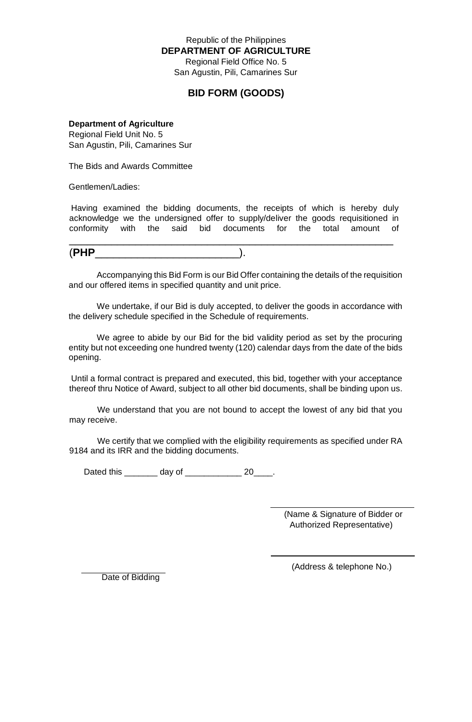#### Republic of the Philippines **DEPARTMENT OF AGRICULTURE**

Regional Field Office No. 5 San Agustin, Pili, Camarines Sur

## **BID FORM (GOODS)**

#### **Department of Agriculture**

Regional Field Unit No. 5 San Agustin, Pili, Camarines Sur

The Bids and Awards Committee

Gentlemen/Ladies:

Having examined the bidding documents, the receipts of which is hereby duly acknowledge we the undersigned offer to supply/deliver the goods requisitioned in conformity with the said bid documents for the total amount of

\_\_\_\_\_\_\_\_\_\_\_\_\_\_\_\_\_\_\_\_\_\_\_\_\_\_\_\_\_\_\_\_\_\_\_\_\_\_\_\_\_\_\_\_\_\_\_\_\_\_\_\_\_\_ (**PHP**\_\_\_\_\_\_\_\_\_\_\_\_\_\_\_\_\_\_\_\_\_\_\_\_).

Accompanying this Bid Form is our Bid Offer containing the details of the requisition and our offered items in specified quantity and unit price.

We undertake, if our Bid is duly accepted, to deliver the goods in accordance with the delivery schedule specified in the Schedule of requirements.

We agree to abide by our Bid for the bid validity period as set by the procuring entity but not exceeding one hundred twenty (120) calendar days from the date of the bids opening.

Until a formal contract is prepared and executed, this bid, together with your acceptance thereof thru Notice of Award, subject to all other bid documents, shall be binding upon us.

We understand that you are not bound to accept the lowest of any bid that you may receive.

We certify that we complied with the eligibility requirements as specified under RA 9184 and its IRR and the bidding documents.

Dated this \_\_\_\_\_\_\_\_ day of \_\_\_\_\_\_\_\_\_\_\_\_\_ 20\_\_\_\_.

(Name & Signature of Bidder or Authorized Representative)

Date of Bidding

(Address & telephone No.)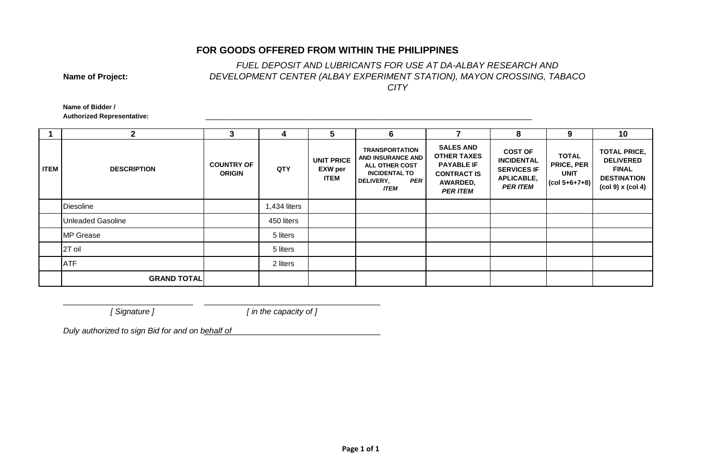## **FOR GOODS OFFERED FROM WITHIN THE PHILIPPINES**

**Name of Project:** 

# *FUEL DEPOSIT AND LUBRICANTS FOR USE AT DA-ALBAY RESEARCH AND DEVELOPMENT CENTER (ALBAY EXPERIMENT STATION), MAYON CROSSING, TABACO*

*CITY* 

**Name of Bidder / Authorized Representative:** \_\_\_\_\_\_\_\_\_\_\_\_\_\_\_\_\_\_\_\_\_\_\_\_\_\_\_\_\_\_\_\_\_\_\_\_\_\_\_\_\_\_\_\_\_\_\_\_\_\_\_\_\_\_\_\_\_\_\_\_\_\_\_\_\_\_\_\_\_\_\_\_\_

|             | $\mathbf{2}$             | 3                                  | 4            | 5                                                  | 6                                                                                                                              |                                                                                                                  | 8                                                                                                 | 9                                                            | 10                                                                                                     |
|-------------|--------------------------|------------------------------------|--------------|----------------------------------------------------|--------------------------------------------------------------------------------------------------------------------------------|------------------------------------------------------------------------------------------------------------------|---------------------------------------------------------------------------------------------------|--------------------------------------------------------------|--------------------------------------------------------------------------------------------------------|
| <b>ITEM</b> | <b>DESCRIPTION</b>       | <b>COUNTRY OF</b><br><b>ORIGIN</b> | <b>QTY</b>   | <b>UNIT PRICE</b><br><b>EXW</b> per<br><b>ITEM</b> | <b>TRANSPORTATION</b><br>AND INSURANCE AND<br><b>ALL OTHER COST</b><br><b>INCIDENTAL TO</b><br>DELIVERY,<br>PER<br><b>ITEM</b> | <b>SALES AND</b><br><b>OTHER TAXES</b><br><b>PAYABLE IF</b><br><b>CONTRACT IS</b><br>AWARDED,<br><b>PER ITEM</b> | <b>COST OF</b><br><b>INCIDENTAL</b><br><b>SERVICES IF</b><br><b>APLICABLE,</b><br><b>PER ITEM</b> | <b>TOTAL</b><br>PRICE, PER<br><b>UNIT</b><br>$(col 5+6+7+8)$ | <b>TOTAL PRICE,</b><br><b>DELIVERED</b><br><b>FINAL</b><br><b>DESTINATION</b><br>$(col 9)$ x $(col 4)$ |
|             | <b>Diesoline</b>         |                                    | 1,434 liters |                                                    |                                                                                                                                |                                                                                                                  |                                                                                                   |                                                              |                                                                                                        |
|             | <b>Unleaded Gasoline</b> |                                    | 450 liters   |                                                    |                                                                                                                                |                                                                                                                  |                                                                                                   |                                                              |                                                                                                        |
|             | <b>MP</b> Grease         |                                    | 5 liters     |                                                    |                                                                                                                                |                                                                                                                  |                                                                                                   |                                                              |                                                                                                        |
|             | 2T oil                   |                                    | 5 liters     |                                                    |                                                                                                                                |                                                                                                                  |                                                                                                   |                                                              |                                                                                                        |
|             | <b>ATF</b>               |                                    | 2 liters     |                                                    |                                                                                                                                |                                                                                                                  |                                                                                                   |                                                              |                                                                                                        |
|             | <b>GRAND TOTAL</b>       |                                    |              |                                                    |                                                                                                                                |                                                                                                                  |                                                                                                   |                                                              |                                                                                                        |

*[ Signature ] [ in the capacity of ]* 

\_\_\_\_\_\_\_\_\_\_\_\_\_\_\_\_\_\_\_\_\_\_\_\_\_\_\_\_\_\_\_\_\_\_\_\_\_\_\_\_\_\_\_\_\_\_\_\_\_\_\_\_\_\_\_\_\_\_\_\_\_\_\_\_\_\_\_\_\_\_\_\_

*Duly authorized to sign Bid for and on behalf of*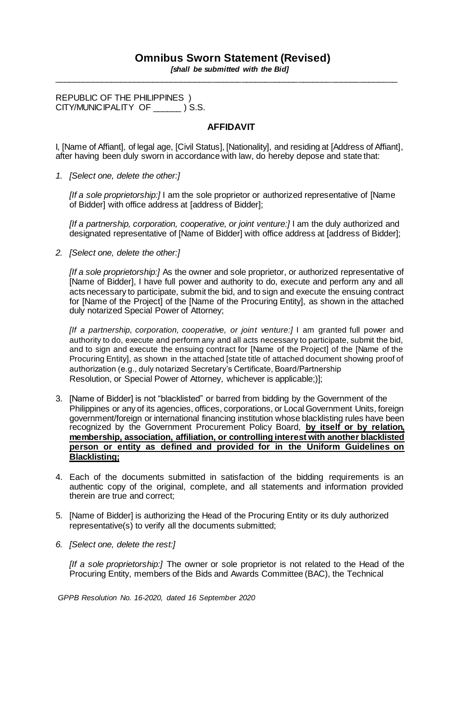*[shall be submitted with the Bid]* \_\_\_\_\_\_\_\_\_\_\_\_\_\_\_\_\_\_\_\_\_\_\_\_\_\_\_\_\_\_\_\_\_\_\_\_\_\_\_\_\_\_\_\_\_\_\_\_\_\_\_\_\_\_\_\_\_\_\_\_\_\_\_\_\_\_\_\_\_\_\_\_\_

REPUBLIC OF THE PHILIPPINES ) CITY/MUNICIPALITY OF \_\_\_\_\_\_ ) S.S.

### **AFFIDAVIT**

I, [Name of Affiant], of legal age, [Civil Status], [Nationality], and residing at [Address of Affiant], after having been duly sworn in accordance with law, do hereby depose and state that:

*1. [Select one, delete the other:]*

*[If a sole proprietorship:]* I am the sole proprietor or authorized representative of [Name of Bidder] with office address at [address of Bidder];

*IIf a partnership, corporation, cooperative, or joint venture:* I am the duly authorized and designated representative of [Name of Bidder] with office address at [address of Bidder];

*2. [Select one, delete the other:]*

*[If a sole proprietorship:]* As the owner and sole proprietor, or authorized representative of [Name of Bidder], I have full power and authority to do, execute and perform any and all acts necessary to participate, submit the bid, and to sign and execute the ensuing contract for [Name of the Project] of the [Name of the Procuring Entity], as shown in the attached duly notarized Special Power of Attorney;

*[If a partnership, corporation, cooperative, or joint venture:]* I am granted full power and authority to do, execute and perform any and all acts necessary to participate, submit the bid, and to sign and execute the ensuing contract for [Name of the Project] of the [Name of the Procuring Entity], as shown in the attached [state title of attached document showing proof of authorization (e.g., duly notarized Secretary's Certificate, Board/Partnership Resolution, or Special Power of Attorney, whichever is applicable;)];

- 3. [Name of Bidder] is not "blacklisted" or barred from bidding by the Government of the Philippines or any of its agencies, offices, corporations, or Local Government Units, foreign government/foreign or international financing institution whose blacklisting rules have been recognized by the Government Procurement Policy Board, **by itself or by relation, membership, association, affiliation, or controlling interest with another blacklisted person or entity as defined and provided for in the Uniform Guidelines on Blacklisting;**
- 4. Each of the documents submitted in satisfaction of the bidding requirements is an authentic copy of the original, complete, and all statements and information provided therein are true and correct;
- 5. [Name of Bidder] is authorizing the Head of the Procuring Entity or its duly authorized representative(s) to verify all the documents submitted;
- *6. [Select one, delete the rest:]*

*[If a sole proprietorship:]* The owner or sole proprietor is not related to the Head of the Procuring Entity, members of the Bids and Awards Committee (BAC), the Technical

*GPPB Resolution No. 16-2020, dated 16 September 2020*